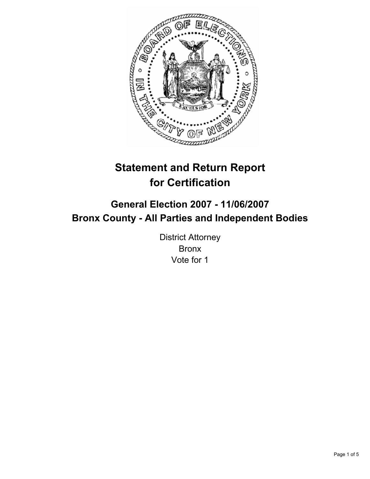

# **Statement and Return Report for Certification**

## **General Election 2007 - 11/06/2007 Bronx County - All Parties and Independent Bodies**

District Attorney Bronx Vote for 1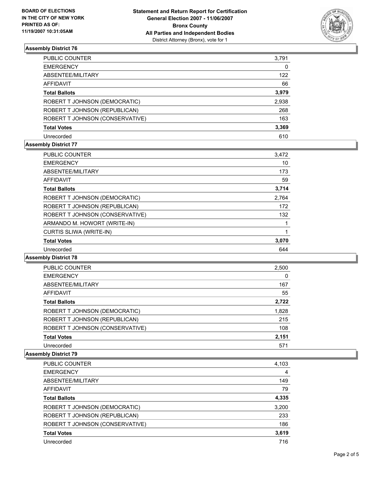

## **Assembly District 76**

| <b>PUBLIC COUNTER</b>           | 3,791 |
|---------------------------------|-------|
| <b>EMERGENCY</b>                | 0     |
| ABSENTEE/MILITARY               | 122   |
| AFFIDAVIT                       | 66    |
| <b>Total Ballots</b>            | 3,979 |
| ROBERT T JOHNSON (DEMOCRATIC)   | 2,938 |
| ROBERT T JOHNSON (REPUBLICAN)   | 268   |
| ROBERT T JOHNSON (CONSERVATIVE) | 163   |
| <b>Total Votes</b>              | 3,369 |
| Unrecorded                      | 610   |

## **Assembly District 77**

| <b>PUBLIC COUNTER</b>           | 3,472 |  |
|---------------------------------|-------|--|
| <b>EMERGENCY</b>                | 10    |  |
| ABSENTEE/MILITARY               | 173   |  |
| AFFIDAVIT                       | 59    |  |
| <b>Total Ballots</b>            | 3,714 |  |
| ROBERT T JOHNSON (DEMOCRATIC)   | 2,764 |  |
| ROBERT T JOHNSON (REPUBLICAN)   | 172   |  |
| ROBERT T JOHNSON (CONSERVATIVE) | 132   |  |
| ARMANDO M. HOWORT (WRITE-IN)    |       |  |
| <b>CURTIS SLIWA (WRITE-IN)</b>  |       |  |
| <b>Total Votes</b>              | 3,070 |  |
| Unrecorded                      | 644   |  |

#### **Assembly District 78**

| PUBLIC COUNTER                  | 2,500 |  |
|---------------------------------|-------|--|
| <b>EMERGENCY</b>                | 0     |  |
| ABSENTEE/MILITARY               | 167   |  |
| <b>AFFIDAVIT</b>                | 55    |  |
| <b>Total Ballots</b>            | 2,722 |  |
| ROBERT T JOHNSON (DEMOCRATIC)   | 1,828 |  |
| ROBERT T JOHNSON (REPUBLICAN)   | 215   |  |
| ROBERT T JOHNSON (CONSERVATIVE) | 108   |  |
| <b>Total Votes</b>              | 2,151 |  |
| Unrecorded                      | 571   |  |

#### **Assembly District 79**

| <b>PUBLIC COUNTER</b>           | 4,103 |
|---------------------------------|-------|
| <b>EMERGENCY</b>                | 4     |
| ABSENTEE/MILITARY               | 149   |
| AFFIDAVIT                       | 79    |
| <b>Total Ballots</b>            | 4,335 |
| ROBERT T JOHNSON (DEMOCRATIC)   | 3,200 |
| ROBERT T JOHNSON (REPUBLICAN)   | 233   |
| ROBERT T JOHNSON (CONSERVATIVE) | 186   |
| <b>Total Votes</b>              | 3,619 |
| Unrecorded                      | 716   |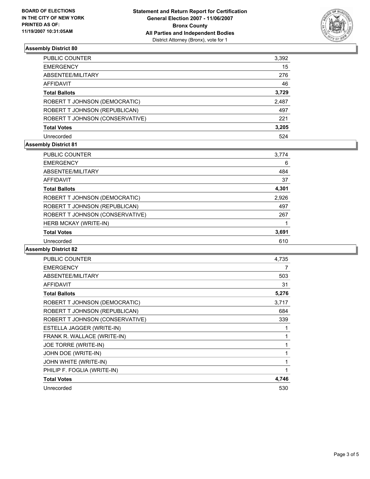

## **Assembly District 80**

| PUBLIC COUNTER                  | 3,392 |
|---------------------------------|-------|
| <b>EMERGENCY</b>                | 15    |
| ABSENTEE/MILITARY               | 276   |
| AFFIDAVIT                       | 46    |
| <b>Total Ballots</b>            | 3,729 |
| ROBERT T JOHNSON (DEMOCRATIC)   | 2,487 |
| ROBERT T JOHNSON (REPUBLICAN)   | 497   |
| ROBERT T JOHNSON (CONSERVATIVE) | 221   |
| <b>Total Votes</b>              | 3,205 |
| Unrecorded                      | 524   |

## **Assembly District 81**

| PUBLIC COUNTER                  | 3,774 |  |
|---------------------------------|-------|--|
| <b>EMERGENCY</b>                | 6     |  |
| ABSENTEE/MILITARY               | 484   |  |
| AFFIDAVIT                       | 37    |  |
| <b>Total Ballots</b>            | 4,301 |  |
| ROBERT T JOHNSON (DEMOCRATIC)   | 2,926 |  |
| ROBERT T JOHNSON (REPUBLICAN)   | 497   |  |
| ROBERT T JOHNSON (CONSERVATIVE) | 267   |  |
| HERB MCKAY (WRITE-IN)           |       |  |
| <b>Total Votes</b>              | 3,691 |  |
| Unrecorded                      | 610   |  |
|                                 |       |  |

## **Assembly District 82**

| <b>PUBLIC COUNTER</b>           | 4,735 |
|---------------------------------|-------|
| <b>EMERGENCY</b>                | 7     |
| ABSENTEE/MILITARY               | 503   |
| <b>AFFIDAVIT</b>                | 31    |
| <b>Total Ballots</b>            | 5,276 |
| ROBERT T JOHNSON (DEMOCRATIC)   | 3,717 |
| ROBERT T JOHNSON (REPUBLICAN)   | 684   |
| ROBERT T JOHNSON (CONSERVATIVE) | 339   |
| ESTELLA JAGGER (WRITE-IN)       |       |
| FRANK R. WALLACE (WRITE-IN)     |       |
| JOE TORRE (WRITE-IN)            |       |
| JOHN DOE (WRITE-IN)             |       |
| JOHN WHITE (WRITE-IN)           |       |
| PHILIP F. FOGLIA (WRITE-IN)     |       |
| <b>Total Votes</b>              | 4,746 |
| Unrecorded                      | 530   |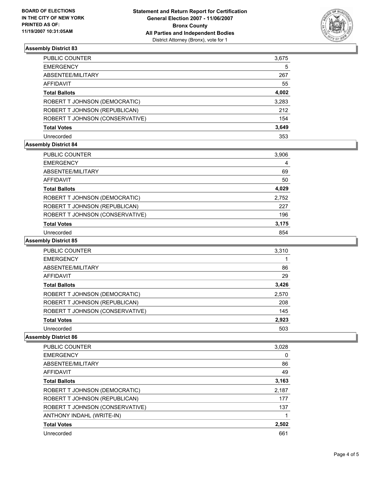

## **Assembly District 83**

| PUBLIC COUNTER                  | 3,675 |
|---------------------------------|-------|
| <b>EMERGENCY</b>                | 5     |
| ABSENTEE/MILITARY               | 267   |
| AFFIDAVIT                       | 55    |
| <b>Total Ballots</b>            | 4,002 |
| ROBERT T JOHNSON (DEMOCRATIC)   | 3,283 |
| ROBERT T JOHNSON (REPUBLICAN)   | 212   |
| ROBERT T JOHNSON (CONSERVATIVE) | 154   |
| <b>Total Votes</b>              | 3,649 |
| Unrecorded                      | 353   |

## **Assembly District 84**

| PUBLIC COUNTER                  | 3,906 |  |
|---------------------------------|-------|--|
| <b>EMERGENCY</b>                | 4     |  |
| ABSENTEE/MILITARY               | 69    |  |
| AFFIDAVIT                       | 50    |  |
| <b>Total Ballots</b>            | 4,029 |  |
| ROBERT T JOHNSON (DEMOCRATIC)   | 2,752 |  |
| ROBERT T JOHNSON (REPUBLICAN)   | 227   |  |
| ROBERT T JOHNSON (CONSERVATIVE) | 196   |  |
| <b>Total Votes</b>              | 3,175 |  |
| Unrecorded                      | 854   |  |

#### **Assembly District 85**

| PUBLIC COUNTER                  | 3,310 |
|---------------------------------|-------|
| <b>EMERGENCY</b>                |       |
| ABSENTEE/MILITARY               | 86    |
| AFFIDAVIT                       | 29    |
| <b>Total Ballots</b>            | 3,426 |
| ROBERT T JOHNSON (DEMOCRATIC)   | 2,570 |
| ROBERT T JOHNSON (REPUBLICAN)   | 208   |
| ROBERT T JOHNSON (CONSERVATIVE) | 145   |
| <b>Total Votes</b>              | 2,923 |
| Unrecorded                      | 503   |

#### **Assembly District 86**

| <b>PUBLIC COUNTER</b>           | 3,028 |
|---------------------------------|-------|
| <b>EMERGENCY</b>                | 0     |
| ABSENTEE/MILITARY               | 86    |
| <b>AFFIDAVIT</b>                | 49    |
| <b>Total Ballots</b>            | 3,163 |
| ROBERT T JOHNSON (DEMOCRATIC)   | 2,187 |
| ROBERT T JOHNSON (REPUBLICAN)   | 177   |
| ROBERT T JOHNSON (CONSERVATIVE) | 137   |
| ANTHONY INDAHL (WRITE-IN)       |       |
| <b>Total Votes</b>              | 2,502 |
| Unrecorded                      | 661   |